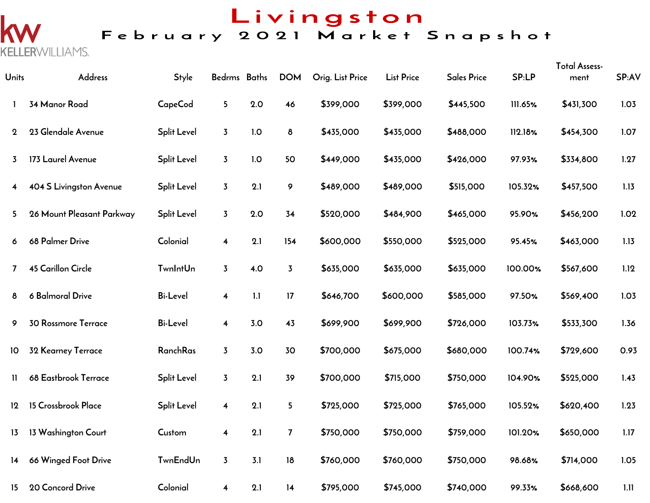k

**KELLER**WILLIAMS.

# Livingston<br>February 2021 Market Snapshot

| Units          | Address                    | <b>Style</b>       | Bedrms Baths            |     | <b>DOM</b>     | Orig. List Price | <b>List Price</b> | <b>Sales Price</b> | <b>SP:LP</b> | <b>Total Assess-</b><br>ment | SP:AV |
|----------------|----------------------------|--------------------|-------------------------|-----|----------------|------------------|-------------------|--------------------|--------------|------------------------------|-------|
| 1              | 34 Manor Road              | CapeCod            | 5 <sub>5</sub>          | 2.0 | 46             | \$399,000        | \$399,000         | \$445,500          | 111.65%      | \$431,300                    | 1.03  |
| $\mathbf 2$    | 23 Glendale Avenue         | <b>Split Level</b> | $\overline{3}$          | 1.0 | $\delta$       | \$435,000        | \$435,000         | \$488,000          | 112.18%      | \$454,300                    | 1.07  |
| $\overline{3}$ | 173 Laurel Avenue          | <b>Split Level</b> | $\overline{3}$          | 1.0 | 50             | \$449,000        | \$435,000         | \$426,000          | 97.93%       | \$334,800                    | 1.27  |
| 4              | 404 S Livingston Avenue    | <b>Split Level</b> | $\overline{3}$          | 2.1 | 9              | \$489,000        | \$489,000         | \$515,000          | 105.32%      | \$457,500                    | 1.13  |
| 5              | 26 Mount Pleasant Parkway  | <b>Split Level</b> | $\overline{3}$          | 2.0 | 34             | \$520,000        | \$484,900         | \$465,000          | 95.90%       | \$456,200                    | 1.02  |
| 6              | 68 Palmer Drive            | Colonial           | $\overline{\mathbf{4}}$ | 2.1 | 154            | \$600,000        | \$550,000         | \$525,000          | 95.45%       | \$463,000                    | 1.13  |
| $\mathbf{7}$   | <b>45 Carillon Circle</b>  | <b>TwnIntUn</b>    | $\overline{3}$          | 4.0 | $\overline{3}$ | \$635,000        | \$635,000         | \$635,000          | 100.00%      | \$567,600                    | 1.12  |
| 8              | 6 Balmoral Drive           | <b>Bi-Level</b>    | $\overline{\mathbf{4}}$ | 1.1 | 17             | \$646,700        | \$600,000         | \$585,000          | 97.50%       | \$569,400                    | 1.03  |
| 9              | <b>30 Rossmore Terrace</b> | <b>Bi-Level</b>    | $\overline{\mathbf{4}}$ | 3.0 | 43             | \$699,900        | \$699,900         | \$726,000          | 103.73%      | \$533,300                    | 1.36  |
| 10             | 32 Kearney Terrace         | RanchRas           | $\overline{3}$          | 3.0 | 30             | \$700,000        | \$675,000         | \$680,000          | 100.74%      | \$729,600                    | 0.93  |
| $\mathbf{H}$   | 68 Eastbrook Terrace       | <b>Split Level</b> | $\overline{3}$          | 2.1 | 39             | \$700,000        | \$715,000         | \$750,000          | 104.90%      | \$525,000                    | 1.43  |
| 12             | 15 Crossbrook Place        | <b>Split Level</b> | $\overline{\mathbf{4}}$ | 2.1 | 5              | \$725,000        | \$725,000         | \$765,000          | 105.52%      | \$620,400                    | 1.23  |
| 13             | 13 Washington Court        | Custom             | $\overline{\mathbf{4}}$ | 2.1 | $\overline{7}$ | \$750,000        | \$750,000         | \$759,000          | 101.20%      | \$650,000                    | 1.17  |
| 14             | 66 Winged Foot Drive       | <b>TwnEndUn</b>    | $\overline{3}$          | 3.1 | 18             | \$760,000        | \$760,000         | \$750,000          | 98.68%       | \$714,000                    | 1.05  |
| 15             | 20 Concord Drive           | Colonial           | 4                       | 2.1 | 14             | \$795,000        | \$745,000         | \$740,000          | 99.33%       | \$668,600                    | 1.11  |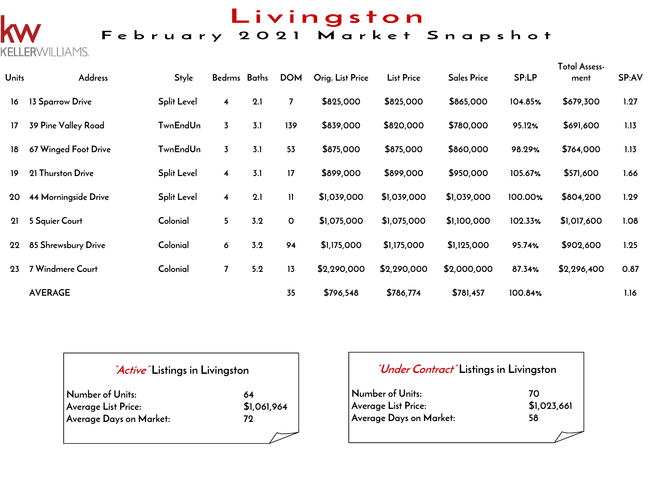### Livingston<br>February 2021 Market Snapshot

| <b>Units</b> | Address              | <b>Style</b>       | Bedrms Baths            |     | <b>DOM</b>     | Orig. List Price | <b>List Price</b> | <b>Sales Price</b> | SP:LP   | Total Assess-<br>ment | SP:AV |
|--------------|----------------------|--------------------|-------------------------|-----|----------------|------------------|-------------------|--------------------|---------|-----------------------|-------|
| 16           | 13 Sparrow Drive     | <b>Split Level</b> | $\overline{\mathbf{4}}$ | 2.1 | $\overline{7}$ | \$825,000        | \$825,000         | \$865,000          | 104.85% | \$679,300             | 1.27  |
| 17           | 39 Pine Valley Road  | <b>TwnEndUn</b>    | 3                       | 3.1 | 139            | \$839,000        | \$820,000         | \$780,000          | 95.12%  | \$691,600             | 1.13  |
| 18           | 67 Winged Foot Drive | <b>TwnEndUn</b>    | $\overline{3}$          | 3.1 | 53             | \$875,000        | \$875,000         | \$860,000          | 98.29%  | \$764,000             | 1.13  |
| 19           | 21 Thurston Drive    | <b>Split Level</b> | 4                       | 3.1 | 17             | \$899,000        | \$899,000         | \$950,000          | 105.67% | \$571,600             | 1.66  |
| 20           | 44 Morningside Drive | <b>Split Level</b> | $\overline{\mathbf{4}}$ | 2.1 | $\mathbf{H}$   | \$1,039,000      | \$1,039,000       | \$1,039,000        | 100.00% | \$804,200             | 1.29  |
| 21           | 5 Squier Court       | Colonial           | 5                       | 3.2 | $\mathbf{o}$   | \$1,075,000      | \$1,075,000       | \$1,100,000        | 102.33% | \$1,017,600           | 1.08  |
| 22           | 85 Shrewsbury Drive  | Colonial           | 6                       | 3.2 | 94             | \$1,175,000      | \$1,175,000       | \$1,125,000        | 95.74%  | \$902,600             | 1.25  |
| 23           | 7 Windmere Court     | Colonial           | $\overline{ }$          | 5.2 | 13             | \$2,290,000      | \$2,290,000       | \$2,000,000        | 87.34%  | \$2,296,400           | 0.87  |
|              | <b>AVERAGE</b>       |                    |                         |     | 35             | \$796,548        | \$786,774         | \$781,457          | 100.84% |                       | 1.16  |

### **"Active" Listings in Livingston**

**KELLERWILLIAMS.** 

| Number of Units:        | 64          |
|-------------------------|-------------|
| Average List Price:     | \$1,061,964 |
| Average Days on Market: | 79.         |
|                         |             |

| <i>"Under Contract"</i> Listings in Livingston |             |
|------------------------------------------------|-------------|
| Number of Units:                               | 70          |
| Average List Price:                            | \$1,023,661 |
| Average Days on Market:                        | 58          |
|                                                |             |